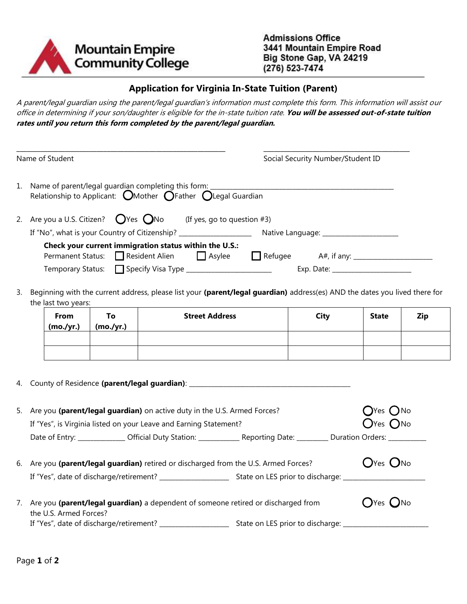

## **Application for Virginia In-State Tuition (Parent)**

A parent/legal guardian using the parent/legal guardian's information must complete this form. This information will assist our office in determining if your son/daughter is eligible for the in-state tuition rate. **You will be assessed out-of-state tuition rates until you return this form completed by the parent/legal guardian.**

\_\_\_\_\_\_\_\_\_\_\_\_\_\_\_\_\_\_\_\_\_\_\_\_\_\_\_\_\_\_\_\_\_\_\_\_\_\_\_\_\_\_\_\_\_\_\_\_\_\_\_\_\_\_\_\_\_\_\_\_ **\_\_\_\_\_**\_\_\_\_\_\_\_\_\_\_\_\_\_\_\_\_\_\_\_\_\_\_\_\_\_\_\_\_\_\_\_\_\_\_\_\_\_

|                                                                                        | Name of Student                                                                                                                                    |                                                                                                    |  |                | Social Security Number/Student ID          |  |
|----------------------------------------------------------------------------------------|----------------------------------------------------------------------------------------------------------------------------------------------------|----------------------------------------------------------------------------------------------------|--|----------------|--------------------------------------------|--|
|                                                                                        | 1. Name of parent/legal guardian completing this form:<br>Relationship to Applicant: $\bigcirc$ Mother $\bigcirc$ Father $\bigcirc$ Legal Guardian |                                                                                                    |  |                |                                            |  |
| 2. Are you a U.S. Citizen? $\bigcirc$ Yes $\bigcirc$ No<br>(If yes, go to question #3) |                                                                                                                                                    |                                                                                                    |  |                |                                            |  |
|                                                                                        | If "No", what is your Country of Citizenship? __________________________________                                                                   |                                                                                                    |  |                | Native Language: _________________________ |  |
|                                                                                        |                                                                                                                                                    | Check your current immigration status within the U.S.:<br>Permanent Status: Resident Alien ΠAsylee |  | $\Box$ Refugee | A#, if any: _______________________        |  |
|                                                                                        |                                                                                                                                                    | Temporary Status: Specify Visa Type ________________________                                       |  |                |                                            |  |

3. Beginning with the current address, please list your **(parent/legal guardian)** address(es) AND the dates you lived there for the last two years:

| From<br>(mo./yr.) | To<br>(mo./yr.) | <b>Street Address</b> | <b>City</b> | <b>State</b> | Zip |
|-------------------|-----------------|-----------------------|-------------|--------------|-----|
|                   |                 |                       |             |              |     |
|                   |                 |                       |             |              |     |

|    | 4. County of Residence (parent/legal guardian): ________________________________                                                                 |                                                            |
|----|--------------------------------------------------------------------------------------------------------------------------------------------------|------------------------------------------------------------|
|    | 5. Are you (parent/legal guardian) on active duty in the U.S. Armed Forces?<br>If "Yes", is Virginia listed on your Leave and Earning Statement? | $\bigcirc$ Yes $\bigcirc$ No<br>$\bigcap$ Yes $\bigcap$ No |
|    | Date of Entry: _______________ Official Duty Station: ______________ Reporting Date: _________ Duration Orders: __________                       |                                                            |
|    | 6. Are you (parent/legal guardian) retired or discharged from the U.S. Armed Forces?                                                             | $OYes$ $ONo$                                               |
| 7. | Are you (parent/legal guardian) a dependent of someone retired or discharged from<br>the U.S. Armed Forces?                                      | $\bigcirc$ Yes $\bigcirc$ No                               |